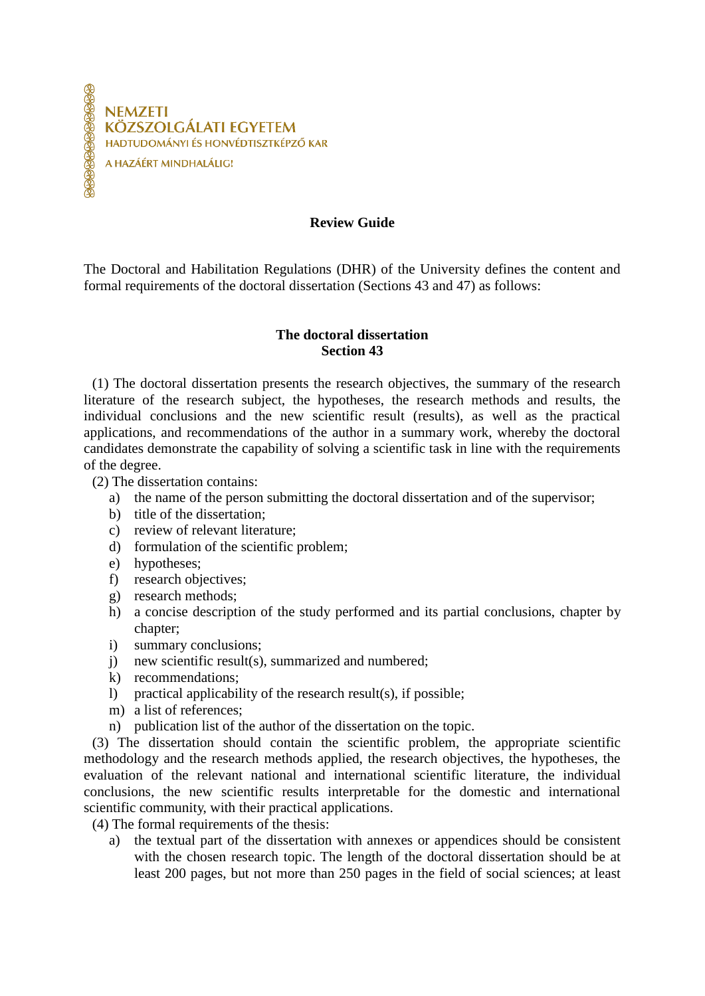**NEMZETI** KÖZSZOLGÁLATI FGYFTFM HADTUDOMÁNYI ÉS HONVÉDTISZTKÉPZŐ KAR A HAZÁÉRT MINDHALÁLIG!

**Review Guide**

The Doctoral and Habilitation Regulations (DHR) of the University defines the content and formal requirements of the doctoral dissertation (Sections 43 and 47) as follows:

## **The doctoral dissertation Section 43**

(1) The doctoral dissertation presents the research objectives, the summary of the research literature of the research subject, the hypotheses, the research methods and results, the individual conclusions and the new scientific result (results), as well as the practical applications, and recommendations of the author in a summary work, whereby the doctoral candidates demonstrate the capability of solving a scientific task in line with the requirements of the degree.

(2) The dissertation contains:

- a) the name of the person submitting the doctoral dissertation and of the supervisor;
- b) title of the dissertation;
- c) review of relevant literature;
- d) formulation of the scientific problem;
- e) hypotheses;
- f) research objectives;
- g) research methods;
- h) a concise description of the study performed and its partial conclusions, chapter by chapter:
- i) summary conclusions;
- j) new scientific result(s), summarized and numbered;
- k) recommendations;
- l) practical applicability of the research result(s), if possible;
- m) a list of references;
- n) publication list of the author of the dissertation on the topic.

(3) The dissertation should contain the scientific problem, the appropriate scientific methodology and the research methods applied, the research objectives, the hypotheses, the evaluation of the relevant national and international scientific literature, the individual conclusions, the new scientific results interpretable for the domestic and international scientific community, with their practical applications.

(4) The formal requirements of the thesis:

a) the textual part of the dissertation with annexes or appendices should be consistent with the chosen research topic. The length of the doctoral dissertation should be at least 200 pages, but not more than 250 pages in the field of social sciences; at least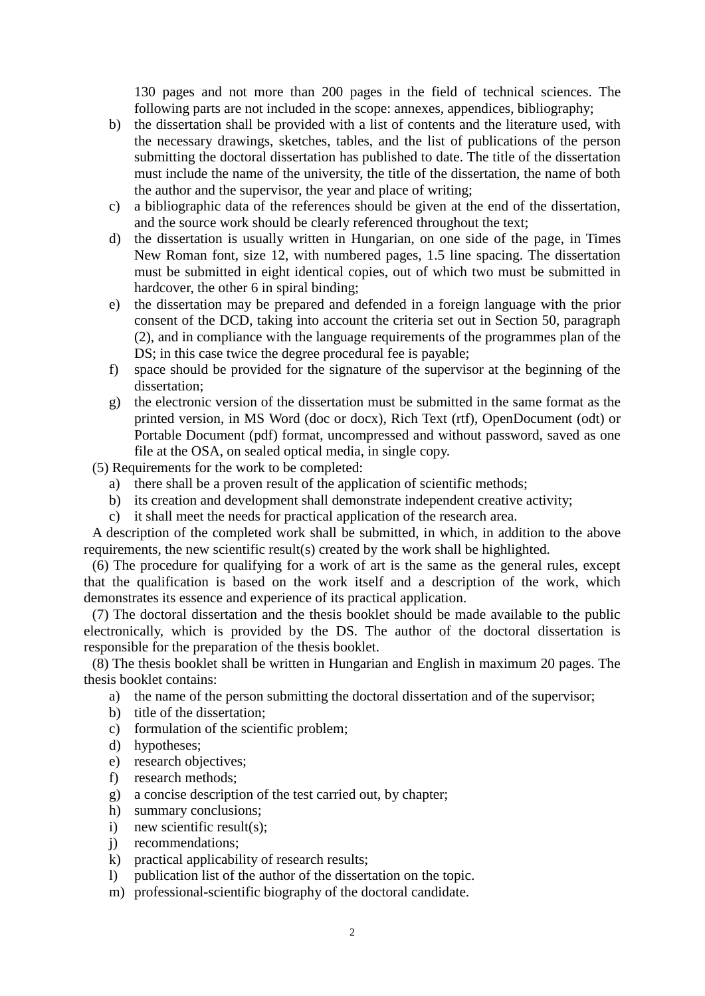130 pages and not more than 200 pages in the field of technical sciences. The following parts are not included in the scope: annexes, appendices, bibliography;

- b) the dissertation shall be provided with a list of contents and the literature used, with the necessary drawings, sketches, tables, and the list of publications of the person submitting the doctoral dissertation has published to date. The title of the dissertation must include the name of the university, the title of the dissertation, the name of both the author and the supervisor, the year and place of writing;
- c) a bibliographic data of the references should be given at the end of the dissertation, and the source work should be clearly referenced throughout the text;
- d) the dissertation is usually written in Hungarian, on one side of the page, in Times New Roman font, size 12, with numbered pages, 1.5 line spacing. The dissertation must be submitted in eight identical copies, out of which two must be submitted in hardcover, the other 6 in spiral binding;
- e) the dissertation may be prepared and defended in a foreign language with the prior consent of the DCD, taking into account the criteria set out in Section 50, paragraph (2), and in compliance with the language requirements of the programmes plan of the DS; in this case twice the degree procedural fee is payable;
- f) space should be provided for the signature of the supervisor at the beginning of the dissertation;
- g) the electronic version of the dissertation must be submitted in the same format as the printed version, in MS Word (doc or docx), Rich Text (rtf), OpenDocument (odt) or Portable Document (pdf) format, uncompressed and without password, saved as one file at the OSA, on sealed optical media, in single copy.

(5) Requirements for the work to be completed:

- a) there shall be a proven result of the application of scientific methods;
- b) its creation and development shall demonstrate independent creative activity;
- c) it shall meet the needs for practical application of the research area.

A description of the completed work shall be submitted, in which, in addition to the above requirements, the new scientific result(s) created by the work shall be highlighted.

(6) The procedure for qualifying for a work of art is the same as the general rules, except that the qualification is based on the work itself and a description of the work, which demonstrates its essence and experience of its practical application.

(7) The doctoral dissertation and the thesis booklet should be made available to the public electronically, which is provided by the DS. The author of the doctoral dissertation is responsible for the preparation of the thesis booklet.

(8) The thesis booklet shall be written in Hungarian and English in maximum 20 pages. The thesis booklet contains:

- a) the name of the person submitting the doctoral dissertation and of the supervisor;
- b) title of the dissertation;
- c) formulation of the scientific problem;
- d) hypotheses;
- e) research objectives;
- f) research methods;
- g) a concise description of the test carried out, by chapter;
- h) summary conclusions;
- i) new scientific result(s);
- j) recommendations;
- k) practical applicability of research results;
- l) publication list of the author of the dissertation on the topic.
- m) professional-scientific biography of the doctoral candidate.